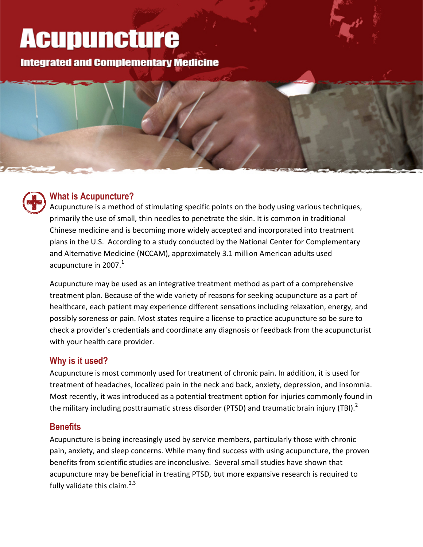# **Acupuncture**

**Integrated and Complementary Medicine** 



### **What is Acupuncture?**

Acupuncture is a method of stimulating specific points on the body using various techniques, primarily the use of small, thin needles to penetrate the skin. It is common in traditional Chinese medicine and is becoming more widely accepted and incorporated into treatment plans in the U.S. According to a study conducted by the National Center for Complementary and Alternative Medicine (NCCAM), approximately 3.1 million American adults used acupuncture in 2007. $^1$ 

Acupuncture may be used as an integrative treatment method as part of a comprehensive treatment plan. Because of the wide variety of reasons for seeking acupuncture as a part of healthcare, each patient may experience different sensations including relaxation, energy, and possibly soreness or pain. Most states require a license to practice acupuncture so be sure to check a provider's credentials and coordinate any diagnosis or feedback from the acupuncturist with your health care provider.

#### **Why is it used?**

Acupuncture is most commonly used for treatment of chronic pain. In addition, it is used for treatment of headaches, localized pain in the neck and back, anxiety, depression, and insomnia. Most recently, it was introduced as a potential treatment option for injuries commonly found in the military including posttraumatic stress disorder (PTSD) and traumatic brain injury (TBI).<sup>2</sup>

#### **Benefits**

Acupuncture is being increasingly used by service members, particularly those with chronic pain, anxiety, and sleep concerns. While many find success with using acupuncture, the proven benefits from scientific studies are inconclusive. Several small studies have shown that acupuncture may be beneficial in treating PTSD, but more expansive research is required to fully validate this claim.<sup>2,3</sup>